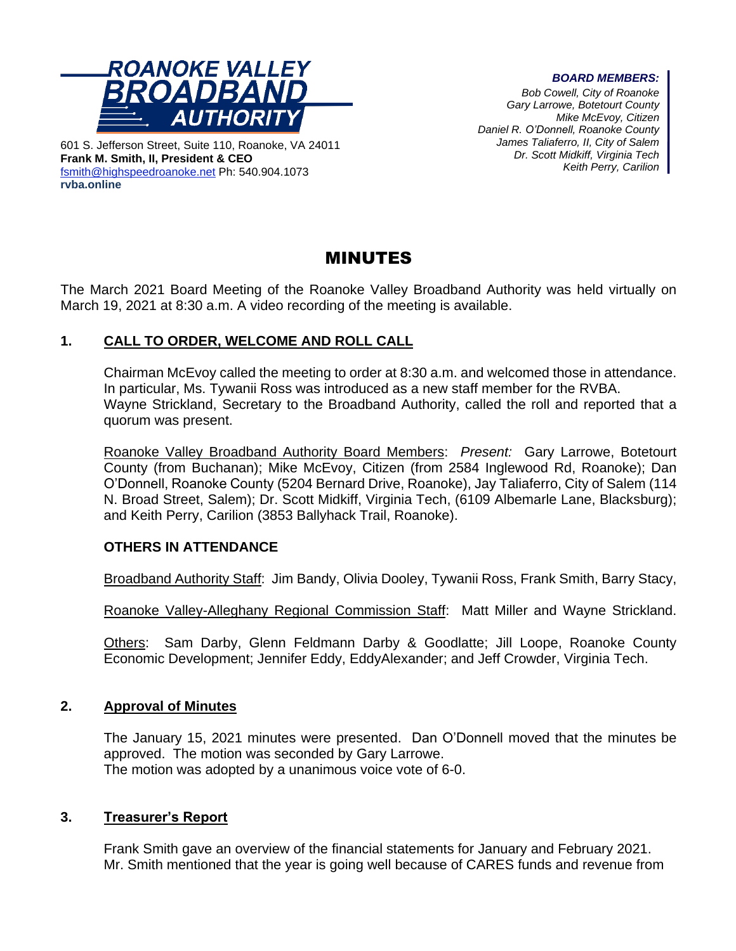

601 S. Jefferson Street, Suite 110, Roanoke, VA 24011 **Frank M. Smith, II, President & CEO** [fsmith@highspeedroanoke.net](mailto:fsmith@highspeedroanoke.net) Ph: 540.904.1073 **rvba.online**

#### *BOARD MEMBERS:*

*Bob Cowell, City of Roanoke Gary Larrowe, Botetourt County Mike McEvoy, Citizen Daniel R. O'Donnell, Roanoke County James Taliaferro, II, City of Salem Dr. Scott Midkiff, Virginia Tech Keith Perry, Carilion*

# MINUTES

The March 2021 Board Meeting of the Roanoke Valley Broadband Authority was held virtually on March 19, 2021 at 8:30 a.m. A video recording of the meeting is available.

## **1. CALL TO ORDER, WELCOME AND ROLL CALL**

Chairman McEvoy called the meeting to order at 8:30 a.m. and welcomed those in attendance. In particular, Ms. Tywanii Ross was introduced as a new staff member for the RVBA. Wayne Strickland, Secretary to the Broadband Authority, called the roll and reported that a quorum was present.

Roanoke Valley Broadband Authority Board Members: *Present:* Gary Larrowe, Botetourt County (from Buchanan); Mike McEvoy, Citizen (from 2584 Inglewood Rd, Roanoke); Dan O'Donnell, Roanoke County (5204 Bernard Drive, Roanoke), Jay Taliaferro, City of Salem (114 N. Broad Street, Salem); Dr. Scott Midkiff, Virginia Tech, (6109 Albemarle Lane, Blacksburg); and Keith Perry, Carilion (3853 Ballyhack Trail, Roanoke).

## **OTHERS IN ATTENDANCE**

Broadband Authority Staff: Jim Bandy, Olivia Dooley, Tywanii Ross, Frank Smith, Barry Stacy,

Roanoke Valley-Alleghany Regional Commission Staff: Matt Miller and Wayne Strickland.

Others: Sam Darby, Glenn Feldmann Darby & Goodlatte; Jill Loope, Roanoke County Economic Development; Jennifer Eddy, EddyAlexander; and Jeff Crowder, Virginia Tech.

## **2. Approval of Minutes**

The January 15, 2021 minutes were presented. Dan O'Donnell moved that the minutes be approved. The motion was seconded by Gary Larrowe. The motion was adopted by a unanimous voice vote of 6-0.

### **3. Treasurer's Report**

Frank Smith gave an overview of the financial statements for January and February 2021. Mr. Smith mentioned that the year is going well because of CARES funds and revenue from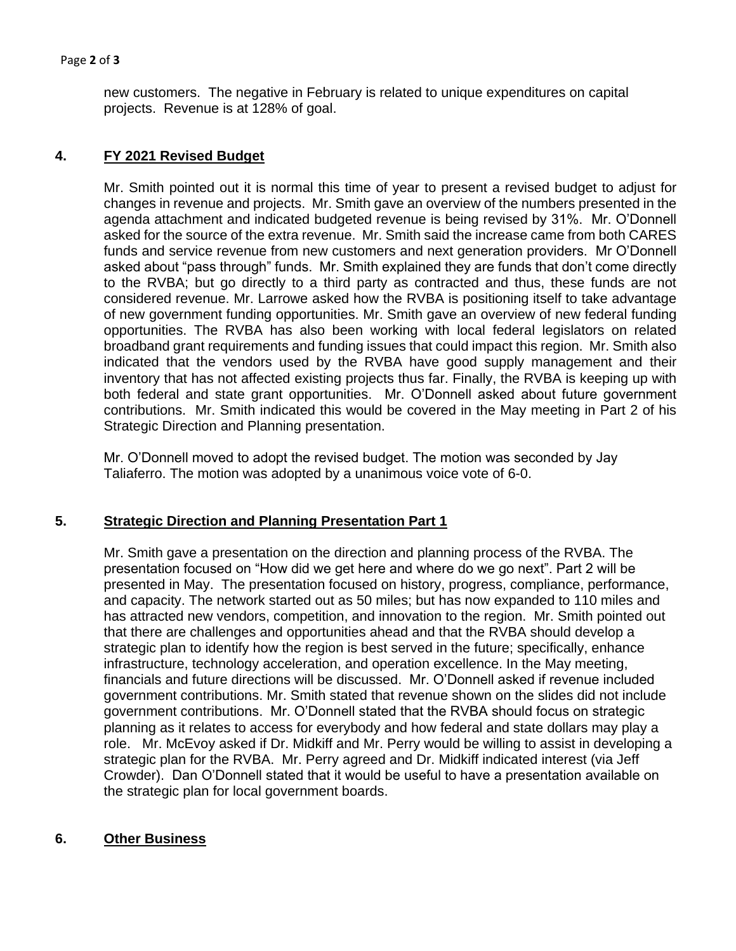#### Page **2** of **3**

new customers. The negative in February is related to unique expenditures on capital projects. Revenue is at 128% of goal.

## **4. FY 2021 Revised Budget**

Mr. Smith pointed out it is normal this time of year to present a revised budget to adjust for changes in revenue and projects. Mr. Smith gave an overview of the numbers presented in the agenda attachment and indicated budgeted revenue is being revised by 31%. Mr. O'Donnell asked for the source of the extra revenue. Mr. Smith said the increase came from both CARES funds and service revenue from new customers and next generation providers. Mr O'Donnell asked about "pass through" funds. Mr. Smith explained they are funds that don't come directly to the RVBA; but go directly to a third party as contracted and thus, these funds are not considered revenue. Mr. Larrowe asked how the RVBA is positioning itself to take advantage of new government funding opportunities. Mr. Smith gave an overview of new federal funding opportunities. The RVBA has also been working with local federal legislators on related broadband grant requirements and funding issues that could impact this region. Mr. Smith also indicated that the vendors used by the RVBA have good supply management and their inventory that has not affected existing projects thus far. Finally, the RVBA is keeping up with both federal and state grant opportunities. Mr. O'Donnell asked about future government contributions. Mr. Smith indicated this would be covered in the May meeting in Part 2 of his Strategic Direction and Planning presentation.

Mr. O'Donnell moved to adopt the revised budget. The motion was seconded by Jay Taliaferro. The motion was adopted by a unanimous voice vote of 6-0.

### **5. Strategic Direction and Planning Presentation Part 1**

Mr. Smith gave a presentation on the direction and planning process of the RVBA. The presentation focused on "How did we get here and where do we go next". Part 2 will be presented in May. The presentation focused on history, progress, compliance, performance, and capacity. The network started out as 50 miles; but has now expanded to 110 miles and has attracted new vendors, competition, and innovation to the region. Mr. Smith pointed out that there are challenges and opportunities ahead and that the RVBA should develop a strategic plan to identify how the region is best served in the future; specifically, enhance infrastructure, technology acceleration, and operation excellence. In the May meeting, financials and future directions will be discussed. Mr. O'Donnell asked if revenue included government contributions. Mr. Smith stated that revenue shown on the slides did not include government contributions. Mr. O'Donnell stated that the RVBA should focus on strategic planning as it relates to access for everybody and how federal and state dollars may play a role. Mr. McEvoy asked if Dr. Midkiff and Mr. Perry would be willing to assist in developing a strategic plan for the RVBA. Mr. Perry agreed and Dr. Midkiff indicated interest (via Jeff Crowder). Dan O'Donnell stated that it would be useful to have a presentation available on the strategic plan for local government boards.

### **6. Other Business**